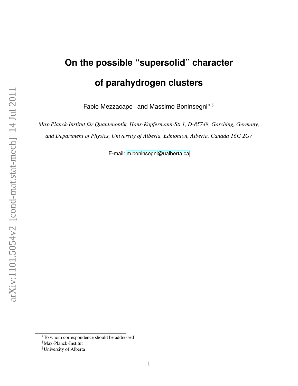# **On the possible "supersolid" character of parahydrogen clusters**

Fabio Mezzacapo† and Massimo Boninsegni∗,‡

*Max-Planck-Institut für Quantenoptik, Hans-Kopfermann-Str.1, D-85748, Garching, Germany, and Department of Physics, University of Alberta, Edmonton, Alberta, Canada T6G 2G7*

E-mail:<m.boninsegni@ualberta.ca>

<sup>∗</sup>To whom correspondence should be addressed

<sup>†</sup>Max-Planck-Institut

<sup>‡</sup>University of Alberta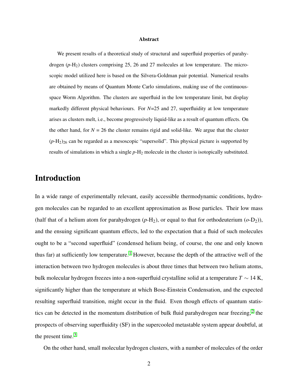#### Abstract

We present results of a theoretical study of structural and superfluid properties of parahydrogen (*p*-H2) clusters comprising 25, 26 and 27 molecules at low temperature. The microscopic model utilized here is based on the Silvera-Goldman pair potential. Numerical results are obtained by means of Quantum Monte Carlo simulations, making use of the continuousspace Worm Algorithm. The clusters are superfluid in the low temperature limit, but display markedly different physical behaviours. For *N*=25 and 27, superfluidity at low temperature arises as clusters melt, i.e., become progressively liquid-like as a result of quantum effects. On the other hand, for  $N = 26$  the cluster remains rigid and solid-like. We argue that the cluster  $(p-H<sub>2</sub>)<sub>26</sub>$  can be regarded as a mesoscopic "supersolid". This physical picture is supported by results of simulations in which a single *p*-H<sup>2</sup> molecule in the cluster is isotopically substituted.

## Introduction

In a wide range of experimentally relevant, easily accessible thermodynamic conditions, hydrogen molecules can be regarded to an excellent approximation as Bose particles. Their low mass (half that of a helium atom for parahydrogen  $(p-H_2)$ , or equal to that for orthodeuterium  $(o-D_2)$ ), and the ensuing significant quantum effects, led to the expectation that a fluid of such molecules ought to be a "second superfluid" (condensed helium being, of course, the one and only known thus far) at sufficiently low temperature.<sup>[1](#page-15-0)</sup> However, because the depth of the attractive well of the interaction between two hydrogen molecules is about three times that between two helium atoms, bulk molecular hydrogen freezes into a non-superfluid crystalline solid at a temperature  $T \sim 14$  K, significantly higher than the temperature at which Bose-Einstein Condensation, and the expected resulting superfluid transition, might occur in the fluid. Even though effects of quantum statis-tics can be detected in the momentum distribution of bulk fluid parahydrogen near freezing,<sup>[2](#page-15-1)</sup> the prospects of observing superfluidity (SF) in the supercooled metastable system appear doubtful, at the present time. $3$ 

On the other hand, small molecular hydrogen clusters, with a number of molecules of the order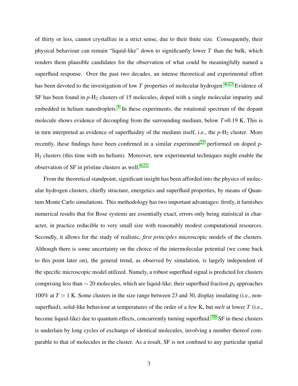of thirty or less, cannot crystallize in a strict sense, due to their finite size. Consequently, their physical behaviour can remain "liquid-like" down to significantly lower *T* than the bulk, which renders them plausible candidates for the observation of what could be meaningfully named a superfluid response. Over the past two decades, an intense theoretical and experimental effort has been devoted to the investigation of low *T* properties of molecular hydrogen.<sup>[4](#page-15-3)[–23](#page-16-0)</sup> Evidence of SF has been found in  $p-H_2$  clusters of 15 molecules, doped with a single molecular impurity and embedded in helium nanodroplets.<sup>[5](#page-15-4)</sup> In these experiments, the rotational spectrum of the dopant molecule shows evidence of decoupling from the surrounding medium, below *T*=0.19 K. This is in turn interpreted as evidence of superfluidity of the medium itself, i.e., the  $p-H_2$  cluster. More recently, these findings have been confirmed in a similar experiment<sup>[23](#page-16-0)</sup> performed on doped  $p$ -H<sup>2</sup> clusters (this time with no helium). Moreover, new experimental techniques might enable the observation of SF in pristine clusters as well.<sup>[6,](#page-15-5)[22](#page-16-1)</sup>

From the theoretical standpoint, significant insight has been afforded into the physics of molecular hydrogen clusters, chiefly structure, energetics and superfluid properties, by means of Quantum Monte Carlo simulations. This methodology has two important advantages: firstly, it furnishes numerical results that for Bose systems are essentially exact, errors only being statistical in character, in practice reducible to very small size with reasonably modest computational resources. Secondly, it allows for the study of realistic, *first principles* microscopic models of the clusters. Although there is some uncertainty on the choice of the intermolecular potential (we come back to this point later on), the general trend, as observed by simulation, is largely independent of the specific microscopic model utilized. Namely, a robust superfluid signal is predicted for clusters comprising less than ∼ 20 molecules, which are liquid-like; their superfluid fraction  $ρ<sub>S</sub>$  approaches 100% at  $T \simeq 1$  K. Some clusters in the size range between 23 and 30, display insulating (i.e., nonsuperfluid), solid-like behaviour at temperatures of the order of a few K, but *melt* at lower *T* (i.e., become liquid-like) due to quantum effects, concurrently turning superfluid.<sup>[7](#page-15-6)[,9](#page-15-7)</sup> SF in these clusters is underlain by long cycles of exchange of identical molecules, involving a number thereof comparable to that of molecules in the cluster. As a result, SF is not confined to any particular spatial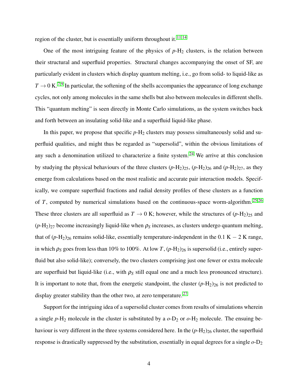region of the cluster, but is essentially uniform throughout it.  $11,14$  $11,14$ 

One of the most intriguing feature of the physics of  $p-H_2$  clusters, is the relation between their structural and superfluid properties. Structural changes accompanying the onset of SF, are particularly evident in clusters which display quantum melting, i.e., go from solid- to liquid-like as  $T \rightarrow 0$  K.<sup>[7](#page-15-6)[,9](#page-15-7)</sup> In particular, the softening of the shells accompanies the appearance of long exchange cycles, not only among molecules in the same shells but also between molecules in different shells. This "quantum melting" is seen directly in Monte Carlo simulations, as the system switches back and forth between an insulating solid-like and a superfluid liquid-like phase.

In this paper, we propose that specific  $p-H_2$  clusters may possess simultaneously solid and superfluid qualities, and might thus be regarded as "supersolid", within the obvious limitations of any such a denomination utilized to characterize a finite system.<sup>[24](#page-16-4)</sup> We arrive at this conclusion by studying the physical behaviours of the three clusters  $(p-H_2)_{25}$ ,  $(p-H_2)_{26}$  and  $(p-H_2)_{27}$ , as they emerge from calculations based on the most realistic and accurate pair interaction models. Specifically, we compare superfluid fractions and radial density profiles of these clusters as a function of *T*, computed by numerical simulations based on the continuous-space worm-algorithm.<sup>[25,](#page-16-5)[26](#page-17-0)</sup> These three clusters are all superfluid as  $T \rightarrow 0$  K; however, while the structures of  $(p-H_2)_{25}$  and  $(p-H_2)_{27}$  become increasingly liquid-like when  $\rho_S$  increases, as clusters undergo quantum melting, that of  $(p-H_2)_{26}$  remains solid-like, essentially temperature-independent in the 0.1 K – 2 K range, in which  $\rho_S$  goes from less than 10% to 100%. At low *T*,  $(p-H_2)_{26}$  is supersolid (i.e., entirely superfluid but also solid-like); conversely, the two clusters comprising just one fewer or extra molecule are superfluid but liquid-like (i.e., with  $\rho_s$  still equal one and a much less pronounced structure). It is important to note that, from the energetic standpoint, the cluster  $(p-H_2)_{26}$  is not predicted to display greater stability than the other two, at zero temperature.<sup>[27](#page-17-1)</sup>

Support for the intriguing idea of a supersolid cluster comes from results of simulations wherein a single  $p$ -H<sub>2</sub> molecule in the cluster is substituted by a  $o$ -D<sub>2</sub> or  $o$ -H<sub>2</sub> molecule. The ensuing behaviour is very different in the three systems considered here. In the  $(p-H_2)_{26}$  cluster, the superfluid response is drastically suppressed by the substitution, essentially in equal degrees for a single *o*-D<sup>2</sup>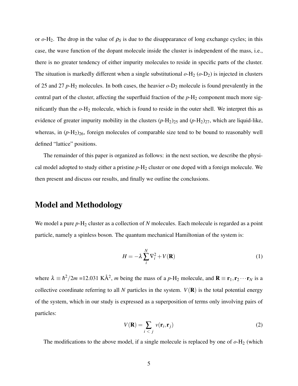or  $o$ -H<sub>2</sub>. The drop in the value of  $\rho_s$  is due to the disappearance of long exchange cycles; in this case, the wave function of the dopant molecule inside the cluster is independent of the mass, i.e., there is no greater tendency of either impurity molecules to reside in specific parts of the cluster. The situation is markedly different when a single substitutional  $o$ -H<sub>2</sub> ( $o$ -D<sub>2</sub>) is injected in clusters of 25 and 27  $p$ -H<sub>2</sub> molecules. In both cases, the heavier  $o$ -D<sub>2</sub> molecule is found prevalently in the central part of the cluster, affecting the superfluid fraction of the  $p$ -H<sub>2</sub> component much more significantly than the  $o$ -H<sub>2</sub> molecule, which is found to reside in the outer shell. We interpret this as evidence of greater impurity mobility in the clusters  $(p-H_2)_{25}$  and  $(p-H_2)_{27}$ , which are liquid-like, whereas, in  $(p-H_2)_{26}$ , foreign molecules of comparable size tend to be bound to reasonably well defined "lattice" positions.

The remainder of this paper is organized as follows: in the next section, we describe the physical model adopted to study either a pristine  $p-H_2$  cluster or one doped with a foreign molecule. We then present and discuss our results, and finally we outline the conclusions.

#### Model and Methodology

We model a pure  $p$ -H<sub>2</sub> cluster as a collection of *N* molecules. Each molecule is regarded as a point particle, namely a spinless boson. The quantum mechanical Hamiltonian of the system is:

$$
H = -\lambda \sum_{i}^{N} \nabla_{i}^{2} + V(\mathbf{R})
$$
 (1)

where  $\lambda = \hbar^2/2m = 12.031 \text{ K} \AA^2$ , *m* being the mass of a *p*-H<sub>2</sub> molecule, and  $\mathbf{R} \equiv \mathbf{r}_1, \mathbf{r}_2 \cdots \mathbf{r}_N$  is a collective coordinate referring to all *N* particles in the system.  $V(\mathbf{R})$  is the total potential energy of the system, which in our study is expressed as a superposition of terms only involving pairs of particles:

$$
V(\mathbf{R}) = \sum_{i < j} v(\mathbf{r}_i, \mathbf{r}_j) \tag{2}
$$

The modifications to the above model, if a single molecule is replaced by one of  $o$ -H<sub>2</sub> (which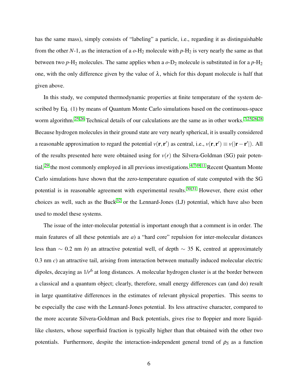has the same mass), simply consists of "labeling" a particle, i.e., regarding it as distinguishable from the other  $N-1$ , as the interaction of a  $o-H_2$  molecule with  $p-H_2$  is very nearly the same as that between two  $p$ -H<sub>2</sub> molecules. The same applies when a  $o$ -D<sub>2</sub> molecule is substituted in for a  $p$ -H<sub>2</sub> one, with the only difference given by the value of  $\lambda$ , which for this dopant molecule is half that given above.

In this study, we computed thermodynamic properties at finite temperature of the system described by Eq. (1) by means of Quantum Monte Carlo simulations based on the continuous-space worm algorithm.<sup>[25](#page-16-5)[,26](#page-17-0)</sup> Technical details of our calculations are the same as in other works.<sup>[7,](#page-15-6)25[,26,](#page-17-0)[28](#page-17-2)</sup> Because hydrogen molecules in their ground state are very nearly spherical, it is usually considered a reasonable approximation to regard the potential  $v(\mathbf{r}, \mathbf{r}')$  as central, i.e.,  $v(\mathbf{r}, \mathbf{r}') \equiv v(|\mathbf{r} - \mathbf{r}'|)$ . All of the results presented here were obtained using for  $v(r)$  the Silvera-Goldman (SG) pair potential,  $^{29}$  $^{29}$  $^{29}$  the most commonly employed in all previous investigations.  $^{4,7-9,11}$  $^{4,7-9,11}$  $^{4,7-9,11}$  $^{4,7-9,11}$  $^{4,7-9,11}$  $^{4,7-9,11}$  Recent Quantum Monte Carlo simulations have shown that the zero-temperature equation of state computed with the SG potential is in reasonable agreement with experimental results.<sup>[30,](#page-17-4)[31](#page-17-5)</sup> However, there exist other choices as well, such as the Buck<sup>[32](#page-17-6)</sup> or the Lennard-Jones (LJ) potential, which have also been used to model these systems.

The issue of the inter-molecular potential is important enough that a comment is in order. The main features of all these potentials are *a*) a "hard core" repulsion for inter-molecular distances less than ∼ 0.2 nm *b*) an attractive potential well, of depth ∼ 35 K, centred at approximately 0.3 nm *c*) an attractive tail, arising from interaction between mutually induced molecular electric dipoles, decaying as 1/*r* 6 at long distances. A molecular hydrogen cluster is at the border between a classical and a quantum object; clearly, therefore, small energy differences can (and do) result in large quantitative differences in the estimates of relevant physical properties. This seems to be especially the case with the Lennard-Jones potential. Its less attractive character, compared to the more accurate Silvera-Goldman and Buck potentials, gives rise to floppier and more liquidlike clusters, whose superfluid fraction is typically higher than that obtained with the other two potentials. Furthermore, despite the interaction-independent general trend of  $\rho_s$  as a function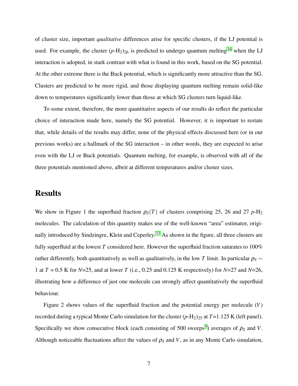of cluster size, important *qualitative* differences arise for specific clusters, if the LJ potential is used. For example, the cluster  $(p-H_2)_{26}$  is predicted to undergo quantum melting<sup>[16](#page-16-6)</sup> when the LJ interaction is adopted, in stark contrast with what is found in this work, based on the SG potential. At the other extreme there is the Buck potential, which is significantly more attractive than the SG. Clusters are predicted to be more rigid, and those displaying quantum melting remain solid-like down to temperatures significantly lower than those at which SG clusters turn liquid-like.

To some extent, therefore, the more quantitative aspects of our results do reflect the particular choice of interaction made here, namely the SG potential. However, it is important to restate that, while details of the results may differ, none of the physical effects discussed here (or in our previous works) are a hallmark of the SG interaction – in other words, they are expected to arise even with the LJ or Buck potentials. Quantum melting, for example, is observed with all of the three potentials mentioned above, albeit at different temperatures and/or cluster sizes.

### **Results**

We show in Figure 1 the superfluid fraction  $\rho_S(T)$  of clusters comprising 25, 26 and 27 *p*-H<sub>2</sub> molecules. The calculation of this quantity makes use of the well-known "area" estimator, origi-nally introduced by Sindzingre, Klein and Ceperley.<sup>[33](#page-17-7)</sup> As shown in the figure, all three clusters are fully superfluid at the lowest *T* considered here. However the superfluid fraction saturates to 100% rather differently, both quantitatively as well as qualitatively, in the low *T* limit. In particular  $\rho_s \sim$ 1 at *T* = 0.5 K for *N*=25, and at lower *T* (i.e., 0.25 and 0.125 K respectively) for *N*=27 and *N*=26, illustrating how a difference of just one molecule can strongly affect quantitatively the superfluid behaviour.

Figure 2 shows values of the superfluid fraction and the potential energy per molecule (*V*) recorded during a typical Monte Carlo simulation for the cluster  $(p-H_2)_{25}$  at  $T=1.125$  K (left panel). Specifically we show consecutive block (each consisting of 500 sweeps<sup>[9](#page-15-7)</sup>) averages of  $\rho_S$  and *V*. Although noticeable fluctuations affect the values of  $\rho_S$  and *V*, as in any Monte Carlo simulation,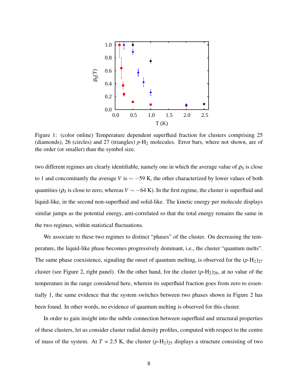

Figure 1: (color online) Temperature dependent superfluid fraction for clusters comprising 25 (diamonds), 26 (circles) and 27 (triangles)  $p-H_2$  molecules. Error bars, where not shown, are of the order (or smaller) than the symbol size.

two different regimes are clearly identifiable, namely one in which the average value of  $\rho_s$  is close to 1 and concomitantly the average *V* is ∼ −59 K, the other characterized by lower values of both quantities ( $\rho_S$  is close to zero, whereas *V* ~ −64 K). In the first regime, the cluster is superfluid and liquid-like, in the second non-superfluid and solid-like. The kinetic energy per molecule displays similar jumps as the potential energy, anti-correlated so that the total energy remains the same in the two regimes, within statistical fluctuations.

We associate to these two regimes to distinct "phases" of the cluster. On decreasing the temperature, the liquid-like phase becomes progressively dominant, i.e., the cluster "quantum melts". The same phase coexistence, signaling the onset of quantum melting, is observed for the  $(p-H_2)_{27}$ cluster (see Figure 2, right panel). On the other hand, for the cluster  $(p-H_2)_{26}$ , at no value of the temperature in the range considered here, wherein its superfluid fraction goes from zero to essentially 1, the same evidence that the system switches between two phases shown in Figure 2 has been found. In other words, no evidence of quantum melting is observed for this cluster.

In order to gain insight into the subtle connection between superfluid and structural properties of these clusters, let us consider cluster radial density profiles, computed with respect to the centre of mass of the system. At  $T = 2.5$  K, the cluster  $(p-H_2)_{25}$  displays a structure consisting of two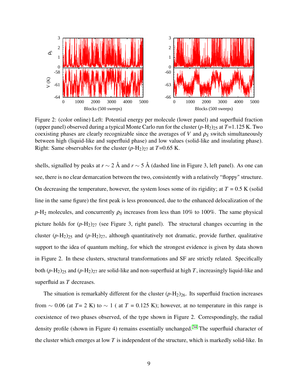

Figure 2: (color online) Left: Potential energy per molecule (lower panel) and superfluid fraction (upper panel) observed during a typical Monte Carlo run for the cluster  $(p-H_2)_{25}$  at  $T=1.125$  K. Two coexisting phases are clearly recognizable since the averages of  $V$  and  $\rho_S$  switch simultaneously between high (liquid-like and superfluid phase) and low values (solid-like and insulating phase). Right: Same observables for the cluster  $(p-H_2)_{27}$  at  $T=0.65$  K.

shells, signalled by peaks at *r* ∼ 2 Å and *r* ∼ 5 Å (dashed line in Figure 3, left panel). As one can see, there is no clear demarcation between the two, consistently with a relatively "floppy" structure. On decreasing the temperature, however, the system loses some of its rigidity; at  $T = 0.5$  K (solid line in the same figure) the first peak is less pronounced, due to the enhanced delocalization of the *p*-H<sub>2</sub> molecules, and concurrently  $\rho_s$  increases from less than 10% to 100%. The same physical picture holds for  $(p-H_2)_{27}$  (see Figure 3, right panel). The structural changes occurring in the cluster  $(p-H_2)_{25}$  and  $(p-H_2)_{27}$ , although quantitatively not dramatic, provide further, qualitative support to the idea of quantum melting, for which the strongest evidence is given by data shown in Figure 2. In these clusters, structural transformations and SF are strictly related. Specifically both  $(p-H_2)_{25}$  and  $(p-H_2)_{27}$  are solid-like and non-superfluid at high *T*, increasingly liquid-like and superfluid as *T* decreases.

The situation is remarkably different for the cluster  $(p-H_2)_{26}$ . Its superfluid fraction increases from  $\sim$  0.06 (at *T* = 2 K) to  $\sim$  1 ( at *T* = 0.125 K); however, at no temperature in this range is coexistence of two phases observed, of the type shown in Figure 2. Correspondingly, the radial density profile (shown in Figure 4) remains essentially unchanged.<sup>[34](#page-17-8)</sup> The superfluid character of the cluster which emerges at low *T* is independent of the structure, which is markedly solid-like. In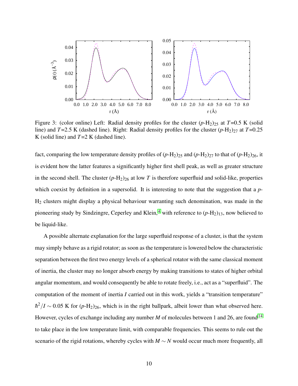

Figure 3: (color online) Left: Radial density profiles for the cluster  $(p-H_2)_{25}$  at  $T=0.5$  K (solid line) and  $T=2.5$  K (dashed line). Right: Radial density profiles for the cluster  $(p-H_2)_{27}$  at  $T=0.25$ K (solid line) and *T*=2 K (dashed line).

fact, comparing the low temperature density profiles of  $(p-H_2)_{25}$  and  $(p-H_2)_{27}$  to that of  $(p-H_2)_{26}$ , it is evident how the latter features a significantly higher first shell peak, as well as greater structure in the second shell. The cluster  $(p-H_2)_{26}$  at low *T* is therefore superfluid and solid-like, properties which coexist by definition in a supersolid. It is interesting to note that the suggestion that a *p*-H<sup>2</sup> clusters might display a physical behaviour warranting such denomination, was made in the pioneering study by Sindzingre, Ceperley and Klein,<sup>[4](#page-15-3)</sup> with reference to  $(p-H<sub>2</sub>)<sub>13</sub>$ , now believed to be liquid-like.

A possible alternate explanation for the large superfluid response of a cluster, is that the system may simply behave as a rigid rotator; as soon as the temperature is lowered below the characteristic separation between the first two energy levels of a spherical rotator with the same classical moment of inertia, the cluster may no longer absorb energy by making transitions to states of higher orbital angular momentum, and would consequently be able to rotate freely, i.e., act as a "superfluid". The computation of the moment of inertia *I* carried out in this work, yields a "transition temperature"  $\hbar^2/I \sim 0.05$  K for  $(p-H_2)_{26}$ , which is in the right ballpark, albeit lower than what observed here. However, cycles of exchange including any number *M* of molecules between 1 and 26, are found  $^{14}$  $^{14}$  $^{14}$ to take place in the low temperature limit, with comparable frequencies. This seems to rule out the scenario of the rigid rotations, whereby cycles with *M* ∼ *N* would occur much more frequently, all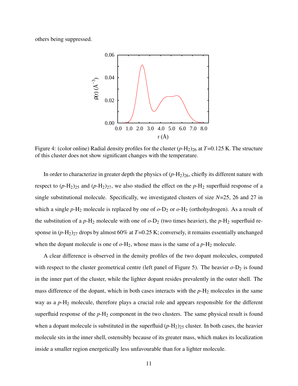others being suppressed.



Figure 4: (color online) Radial density profiles for the cluster  $(p-H_2)_{26}$  at  $T=0.125$  K. The structure of this cluster does not show significant changes with the temperature.

In order to characterize in greater depth the physics of  $(p-H<sub>2</sub>)<sub>26</sub>$ , chiefly its different nature with respect to  $(p-H_2)_{25}$  and  $(p-H_2)_{27}$ , we also studied the effect on the  $p-H_2$  superfluid response of a single substitutional molecule. Specifically, we investigated clusters of size *N*=25, 26 and 27 in which a single  $p$ -H<sub>2</sub> molecule is replaced by one of  $o$ -D<sub>2</sub> or  $o$ -H<sub>2</sub> (orthohydrogen). As a result of the substitution of a  $p$ -H<sub>2</sub> molecule with one of  $o$ -D<sub>2</sub> (two times heavier), the  $p$ -H<sub>2</sub> superfluid response in  $(p-H_2)_{27}$  drops by almost 60% at  $T=0.25$  K; conversely, it remains essentially unchanged when the dopant molecule is one of  $o$ -H<sub>2</sub>, whose mass is the same of a  $p$ -H<sub>2</sub> molecule.

A clear difference is observed in the density profiles of the two dopant molecules, computed with respect to the cluster geometrical centre (left panel of Figure 5). The heavier  $o-D_2$  is found in the inner part of the cluster, while the lighter dopant resides prevalently in the outer shell. The mass difference of the dopant, which in both cases interacts with the  $p-H_2$  molecules in the same way as a  $p$ -H<sub>2</sub> molecule, therefore plays a crucial role and appears responsible for the different superfluid response of the  $p$ -H<sub>2</sub> component in the two clusters. The same physical result is found when a dopant molecule is substituted in the superfluid  $(p-H_2)_{25}$  cluster. In both cases, the heavier molecule sits in the inner shell, ostensibly because of its greater mass, which makes its localization inside a smaller region energetically less unfavourable than for a lighter molecule.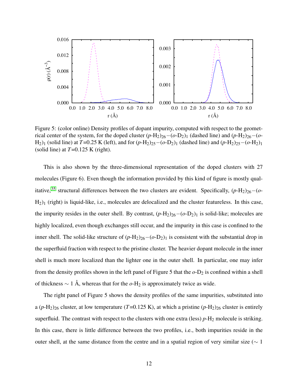

Figure 5: (color online) Density profiles of dopant impurity, computed with respect to the geometrical center of the system, for the doped cluster  $(p-H_2)_{26}-(o-D_2)_1$  (dashed line) and  $(p-H_2)_{26}-(o-D_2)_2$ H<sub>2</sub>)<sub>1</sub> (solid line) at *T*=0.25 K (left), and for  $(p-H_2)_{25}-(o-D_2)_{1}$  (dashed line) and  $(p-H_2)_{25}-(o-H_2)_{1}$ (solid line) at  $T=0.125$  K (right).

This is also shown by the three-dimensional representation of the doped clusters with 27 molecules (Figure 6). Even though the information provided by this kind of figure is mostly qualitative,[35](#page-17-9) structural differences between the two clusters are evident. Specifically, (*p*-H2)26−(*o*- $H_2$ )<sub>1</sub> (right) is liquid-like, i.e., molecules are delocalized and the cluster featureless. In this case, the impurity resides in the outer shell. By contrast,  $(p-H_2)_{26}-(o-D_2)_{1}$  is solid-like; molecules are highly localized, even though exchanges still occur, and the impurity in this case is confined to the inner shell. The solid-like structure of  $(p-H_2)_{26}-(o-D_2)_1$  is consistent with the substantial drop in the superfluid fraction with respect to the pristine cluster. The heavier dopant molecule in the inner shell is much more localized than the lighter one in the outer shell. In particular, one may infer from the density profiles shown in the left panel of Figure 5 that the  $o$ -D<sub>2</sub> is confined within a shell of thickness  $\sim 1$  Å, whereas that for the  $o$ -H<sub>2</sub> is approximately twice as wide.

The right panel of Figure 5 shows the density profiles of the same impurities, substituted into a  $(p-H_2)_{26}$  cluster, at low temperature (*T*=0.125 K), at which a pristine (*p*-H<sub>2</sub>)<sub>26</sub> cluster is entirely superfluid. The contrast with respect to the clusters with one extra (less)  $p$ -H<sub>2</sub> molecule is striking. In this case, there is little difference between the two profiles, i.e., both impurities reside in the outer shell, at the same distance from the centre and in a spatial region of very similar size ( $\sim$  1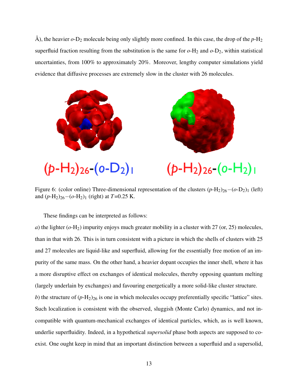Å), the heavier  $o$ -D<sub>2</sub> molecule being only slightly more confined. In this case, the drop of the  $p$ -H<sub>2</sub> superfluid fraction resulting from the substitution is the same for  $o$ -H<sub>2</sub> and  $o$ -D<sub>2</sub>, within statistical uncertainties, from 100% to approximately 20%. Moreover, lengthy computer simulations yield evidence that diffusive processes are extremely slow in the cluster with 26 molecules.





 $(p-H<sub>2</sub>)<sub>26</sub>$ -(0-D<sub>2</sub>)<sub>1</sub>

 $(p-H_2)_{26}$ - $(o-H_2)_{1}$ 

Figure 6: (color online) Three-dimensional representation of the clusters (*p*-H2)26−(*o*-D2)<sup>1</sup> (left) and (*p*-H2)26−(*o*-H2)<sup>1</sup> (right) at *T*=0.25 K.

These findings can be interpreted as follows:

*a*) the lighter  $(o-H_2)$  impurity enjoys much greater mobility in a cluster with 27 (or, 25) molecules, than in that with 26. This is in turn consistent with a picture in which the shells of clusters with 25 and 27 molecules are liquid-like and superfluid, allowing for the essentially free motion of an impurity of the same mass. On the other hand, a heavier dopant occupies the inner shell, where it has a more disruptive effect on exchanges of identical molecules, thereby opposing quantum melting (largely underlain by exchanges) and favouring energetically a more solid-like cluster structure.

*b*) the structure of  $(p-H_2)_{26}$  is one in which molecules occupy preferentially specific "lattice" sites. Such localization is consistent with the observed, sluggish (Monte Carlo) dynamics, and not incompatible with quantum-mechanical exchanges of identical particles, which, as is well known, underlie superfluidity. Indeed, in a hypothetical *supersolid* phase both aspects are supposed to coexist. One ought keep in mind that an important distinction between a superfluid and a supersolid,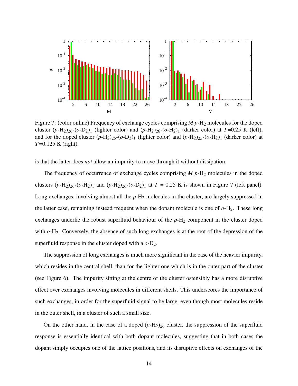

Figure 7: (color online) Frequency of exchange cycles comprising *M p*-H<sub>2</sub> molecules for the doped cluster  $(p-H_2)_{26}-(o-D_2)_{1}$  (lighter color) and  $(p-H_2)_{26}-(o-H_2)_{1}$  (darker color) at *T*=0.25 K (left), and for the doped cluster  $(p-H_2)_{25}-(o-D_2)_{1}$  (lighter color) and  $(p-H_2)_{25}-(o-H_2)_{1}$  (darker color) at *T*=0.125 K (right).

is that the latter does *not* allow an impurity to move through it without dissipation.

The frequency of occurrence of exchange cycles comprising *M p*-H<sub>2</sub> molecules in the doped clusters  $(p-H_2)_{26}-(o-H_2)_{1}$  and  $(p-H_2)_{26}-(o-D_2)_{1}$  at  $T = 0.25$  K is shown in Figure 7 (left panel). Long exchanges, involving almost all the  $p-H_2$  molecules in the cluster, are largely suppressed in the latter case, remaining instead frequent when the dopant molecule is one of  $o-H_2$ . These long exchanges underlie the robust superfluid behaviour of the  $p-H_2$  component in the cluster doped with  $o$ -H<sub>2</sub>. Conversely, the absence of such long exchanges is at the root of the depression of the superfluid response in the cluster doped with a  $o$ - $D_2$ .

The suppression of long exchanges is much more significant in the case of the heavier impurity, which resides in the central shell, than for the lighter one which is in the outer part of the cluster (see Figure 6). The impurity sitting at the centre of the cluster ostensibly has a more disruptive effect over exchanges involving molecules in different shells. This underscores the importance of such exchanges, in order for the superfluid signal to be large, even though most molecules reside in the outer shell, in a cluster of such a small size.

On the other hand, in the case of a doped  $(p-H<sub>2</sub>)<sub>26</sub>$  cluster, the suppression of the superfluid response is essentially identical with both dopant molecules, suggesting that in both cases the dopant simply occupies one of the lattice positions, and its disruptive effects on exchanges of the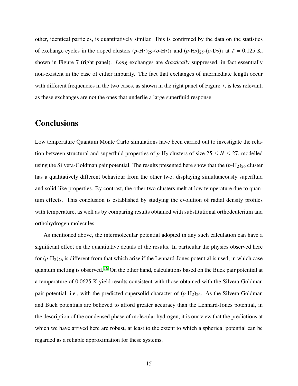other, identical particles, is quantitatively similar. This is confirmed by the data on the statistics of exchange cycles in the doped clusters  $(p-H_2)_{25}-(o-H_2)_{1}$  and  $(p-H_2)_{25}-(o-D_2)_{1}$  at  $T = 0.125$  K, shown in Figure 7 (right panel). *Long* exchanges are *drastically* suppressed, in fact essentially non-existent in the case of either impurity. The fact that exchanges of intermediate length occur with different frequencies in the two cases, as shown in the right panel of Figure 7, is less relevant, as these exchanges are not the ones that underlie a large superfluid response.

## **Conclusions**

Low temperature Quantum Monte Carlo simulations have been carried out to investigate the relation between structural and superfluid properties of  $p$ -H<sub>2</sub> clusters of size  $25 \le N \le 27$ , modelled using the Silvera-Goldman pair potential. The results presented here show that the  $(p-H_2)_{26}$  cluster has a qualitatively different behaviour from the other two, displaying simultaneously superfluid and solid-like properties. By contrast, the other two clusters melt at low temperature due to quantum effects. This conclusion is established by studying the evolution of radial density profiles with temperature, as well as by comparing results obtained with substitutional orthodeuterium and orthohydrogen molecules.

As mentioned above, the intermolecular potential adopted in any such calculation can have a significant effect on the quantitative details of the results. In particular the physics observed here for  $(p-H_2)_{26}$  is different from that which arise if the Lennard-Jones potential is used, in which case quantum melting is observed.<sup>[16](#page-16-6)</sup> On the other hand, calculations based on the Buck pair potential at a temperature of 0.0625 K yield results consistent with those obtained with the Silvera-Goldman pair potential, i.e., with the predicted supersolid character of  $(p-H_2)_{26}$ . As the Silvera-Goldman and Buck potentials are believed to afford greater accuracy than the Lennard-Jones potential, in the description of the condensed phase of molecular hydrogen, it is our view that the predictions at which we have arrived here are robust, at least to the extent to which a spherical potential can be regarded as a reliable approximation for these systems.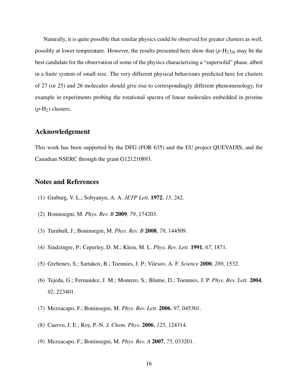Naturally, it is quite possible that similar physics could be observed for greater clusters as well, possibly at lower temperature. However, the results presented here show that  $(p-H_2)_{26}$  may be the best candidate for the observation of some of the physics characterizing a "supersolid" phase, albeit in a finite system of small size. The very different physical behaviours predicted here for clusters of 27 (or 25) and 26 molecules should give rise to correspondingly different phenomenology, for example in experiments probing the rotational spectra of linear molecules embedded in pristine  $(p-H_2)$  clusters.

#### Acknowledgement

This work has been supported by the DFG (FOR 635) and the EU project QUEVADIS, and the Canadian NSERC through the grant G121210893.

#### Notes and References

- <span id="page-15-0"></span>(1) Ginburg, V. L.; Sobyanyn, A. A. *JETP Lett.* 1972, *15*, 242.
- <span id="page-15-1"></span>(2) Boninsegni, M. *Phys. Rev. B* 2009, *79*, 174203.
- <span id="page-15-2"></span>(3) Turnbull, J.; Boninsegni, M. *Phys. Rev. B* 2008, *78*, 144509.
- <span id="page-15-3"></span>(4) Sindzingre, P.; Ceperley, D. M.; Klein, M. L. *Phys. Rev. Lett.* 1991, *67*, 1871.
- <span id="page-15-4"></span>(5) Grebenev, S.; Sartakov, B.; Toennies, J. P.; Vilesov, A. F. *Science* 2000, *289*, 1532.
- <span id="page-15-5"></span>(6) Tejeda, G.; Fernandez, J. M.; Montero, S.; Blume, D.; Toennies, J. P. *Phys. Rev. Lett.* 2004, *92*, 223401.
- <span id="page-15-6"></span>(7) Mezzacapo, F.; Boninsegni, M. *Phys. Rev. Lett.* 2006, *97*, 045301.
- (8) Cuervo, J. E.; Roy, P.-N. *J. Chem. Phys.* 2006, *125*, 124314.
- <span id="page-15-7"></span>(9) Mezzacapo, F.; Boninsegni, M. *Phys. Rev. A* 2007, *75*, 033201.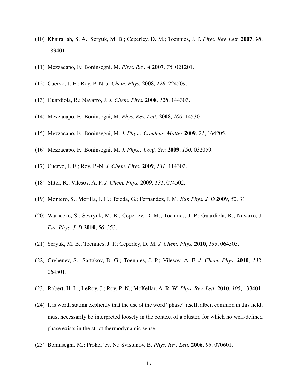- <span id="page-16-7"></span>(10) Khairallah, S. A.; Seryuk, M. B.; Ceperley, D. M.; Toennies, J. P. *Phys. Rev. Lett.* 2007, *98*, 183401.
- <span id="page-16-2"></span>(11) Mezzacapo, F.; Boninsegni, M. *Phys. Rev. A* 2007, *76*, 021201.
- (12) Cuervo, J. E.; Roy, P.-N. *J. Chem. Phys.* 2008, *128*, 224509.
- (13) Guardiola, R.; Navarro, J. *J. Chem. Phys.* 2008, *128*, 144303.
- <span id="page-16-3"></span>(14) Mezzacapo, F.; Boninsegni, M. *Phys. Rev. Lett.* 2008, *100*, 145301.
- <span id="page-16-8"></span>(15) Mezzacapo, F.; Boninsegni, M. *J. Phys.: Condens. Matter* 2009, *21*, 164205.
- <span id="page-16-6"></span>(16) Mezzacapo, F.; Boninsegni, M. *J. Phys.: Conf. Ser.* 2009, *150*, 032059.
- (17) Cuervo, J. E.; Roy, P.-N. *J. Chem. Phys.* 2009, *131*, 114302.
- (18) Sliter, R.; Vilesov, A. F. *J. Chem. Phys.* 2009, *131*, 074502.
- (19) Montero, S.; Morilla, J. H.; Tejeda, G.; Fernandez, J. M. *Eur. Phys. J. D* 2009, *52*, 31.
- (20) Warnecke, S.; Sevryuk, M. B.; Ceperley, D. M.; Toennies, J. P.; Guardiola, R.; Navarro, J. *Eur. Phys. J. D* 2010, *56*, 353.
- (21) Seryuk, M. B.; Toennies, J. P.; Ceperley, D. M. *J. Chem. Phys.* 2010, *133*, 064505.
- <span id="page-16-1"></span>(22) Grebenev, S.; Sartakov, B. G.; Toennies, J. P.; Vilesov, A. F. *J. Chem. Phys.* 2010, *132*, 064501.
- <span id="page-16-0"></span>(23) Robert, H. L.; LeRoy, J.; Roy, P.-N.; McKellar, A. R. W. *Phys. Rev. Lett.* 2010, *105*, 133401.
- <span id="page-16-4"></span>(24) It is worth stating explicitly that the use of the word "phase" itself, albeit common in this field, must necessarily be interpreted loosely in the context of a cluster, for which no well-defined phase exists in the strict thermodynamic sense.
- <span id="page-16-5"></span>(25) Boninsegni, M.; Prokof'ev, N.; Svistunov, B. *Phys. Rev. Lett.* 2006, *96*, 070601.